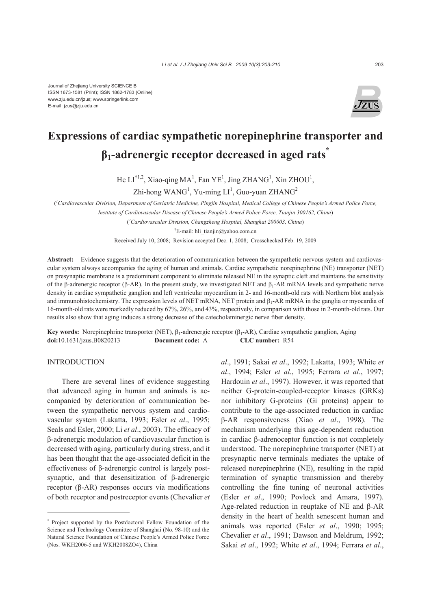

# **Expressions of cardiac sympathetic norepinephrine transporter and β1-adrenergic receptor decreased in aged rats\***

He  $LI^{\dagger}$ <sup>1,2</sup>, Xiao-qing MA<sup>1</sup>, Fan YE<sup>1</sup>, Jing ZHANG<sup>1</sup>, Xin ZHOU<sup>1</sup>,

 $Zhi$ -hong WANG<sup>1</sup>, Yu-ming LI<sup>1</sup>, Guo-yuan ZHANG<sup>2</sup>

( *1 Cardiovascular Division, Department of Geriatric Medicine, Pingjin Hospital, Medical College of Chinese People's Armed Police Force, Institute of Cardiovascular Disease of Chinese People's Armed Police Force, Tianjin 300162, China*)

( *2 Cardiovascular Division, Changzheng Hospital, Shanghai 200003, China*)

<sup>†</sup>E-mail: hli tianjin@yahoo.com.cn

Received July 10, 2008; Revision accepted Dec. 1, 2008; Crosschecked Feb. 19, 2009

**Abstract:** Evidence suggests that the deterioration of communication between the sympathetic nervous system and cardiovascular system always accompanies the aging of human and animals. Cardiac sympathetic norepinephrine (NE) transporter (NET) on presynaptic membrane is a predominant component to eliminate released NE in the synaptic cleft and maintains the sensitivity of the β-adrenergic receptor (β-AR). In the present study, we investigated NET and  $β_1$ -AR mRNA levels and sympathetic nerve density in cardiac sympathetic ganglion and left ventricular myocardium in 2- and 16-month-old rats with Northern blot analysis and immunohistochemistry. The expression levels of NET mRNA, NET protein and  $\beta_1$ -AR mRNA in the ganglia or myocardia of 16-month-old rats were markedly reduced by 67%, 26%, and 43%, respectively, in comparison with those in 2-month-old rats. Our results also show that aging induces a strong decrease of the catecholaminergic nerve fiber density.

**Key words:** Norepinephrine transporter (NET), β1-adrenergic receptor (β1-AR), Cardiac sympathetic ganglion, Aging **doi:**10.1631/jzus.B0820213 **Document code:** A **CLC number:** R54

### **INTRODUCTION**

There are several lines of evidence suggesting that advanced aging in human and animals is accompanied by deterioration of communication between the sympathetic nervous system and cardiovascular system (Lakatta, 1993; Esler *et al*., 1995; Seals and Esler, 2000; Li *et al*., 2003). The efficacy of β-adrenergic modulation of cardiovascular function is decreased with aging, particularly during stress, and it has been thought that the age-associated deficit in the effectiveness of β-adrenergic control is largely postsynaptic, and that desensitization of β-adrenergic receptor (β-AR) responses occurs via modifications of both receptor and postreceptor events (Chevalier *et*  *al*., 1991; Sakai *et al*., 1992; Lakatta, 1993; White *et al*., 1994; Esler *et al*., 1995; Ferrara *et al*., 1997; Hardouin *et al*., 1997). However, it was reported that neither G-protein-coupled-receptor kinases (GRKs) nor inhibitory G-proteins (Gi proteins) appear to contribute to the age-associated reduction in cardiac β-AR responsiveness (Xiao *et al*., 1998). The mechanism underlying this age-dependent reduction in cardiac β-adrenoceptor function is not completely understood. The norepinephrine transporter (NET) at presynaptic nerve terminals mediates the uptake of released norepinephrine (NE), resulting in the rapid termination of synaptic transmission and thereby controlling the fine tuning of neuronal activities (Esler *et al*., 1990; Povlock and Amara, 1997). Age-related reduction in reuptake of NE and β-AR density in the heart of health senescent human and animals was reported (Esler *et al*., 1990; 1995; Chevalier *et al*., 1991; Dawson and Meldrum, 1992; Sakai *et al*., 1992; White *et al*., 1994; Ferrara *et al*.,

<sup>\*</sup> Project supported by the Postdoctoral Fellow Foundation of the Science and Technology Committee of Shanghai (No. 98-10) and the Natural Science Foundation of Chinese People's Armed Police Force (Nos. WKH2006-5 and WKH2008ZO4), China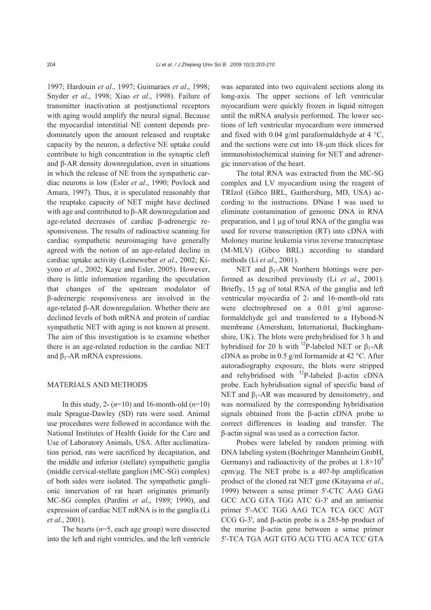1997; Hardouin *et al*., 1997; Guimaraes *et al*., 1998; Snyder *et al*., 1998; Xiao *et al*., 1998). Failure of transmitter inactivation at postjunctional receptors with aging would amplify the neural signal. Because the myocardial interstitial NE content depends predominately upon the amount released and reuptake capacity by the neuron, a defective NE uptake could contribute to high concentration in the synaptic cleft and β-AR density downregulation, even in situations in which the release of NE from the sympathetic cardiac neurons is low (Esler *et al*., 1990; Povlock and Amara, 1997). Thus, it is speculated reasonably that the reuptake capacity of NET might have declined with age and contributed to β-AR downregulation and age-related decreases of cardiac β-adrenergic responsiveness. The results of radioactive scanning for cardiac sympathetic neuroimaging have generally agreed with the notion of an age-related decline in cardiac uptake activity (Leineweber *et al*., 2002; Kiyono *et al*., 2002; Kaye and Esler, 2005). However, there is little information regarding the speculation that changes of the upstream modulator of β-adrenergic responsiveness are involved in the age-related β-AR downregulation. Whether there are declined levels of both mRNA and protein of cardiac sympathetic NET with aging is not known at present. The aim of this investigation is to examine whether there is an age-related reduction in the cardiac NET and  $β_1$ -AR mRNA expressions.

## MATERIALS AND METHODS

In this study, 2- (*n*=10) and 16-month-old (*n*=10) male Sprague-Dawley (SD) rats were used. Animal use procedures were followed in accordance with the National Institutes of Health Guide for the Care and Use of Laboratory Animals, USA. After acclimatization period, rats were sacrificed by decapitation, and the middle and inferior (stellate) sympathetic ganglia (middle cervical-stellate ganglion (MC-SG) complex) of both sides were isolated. The sympathetic ganglionic innervation of rat heart originates primarily MC-SG complex (Pardini *et al*., 1989; 1990), and expression of cardiac NET mRNA is in the ganglia (Li *et al*., 2001).

The hearts (*n*=5, each age group) were dissected into the left and right ventricles, and the left ventricle was separated into two equivalent sections along its long-axis. The upper sections of left ventricular myocardium were quickly frozen in liquid nitrogen until the mRNA analysis performed. The lower sections of left ventricular myocardium were immersed and fixed with 0.04 g/ml paraformaldehyde at 4  $\degree$ C, and the sections were cut into 18-µm thick slices for immunohistochemical staining for NET and adrenergic innervation of the heart.

The total RNA was extracted from the MC-SG complex and LV myocardium using the reagent of TRIzol (Gibco BRL, Gaithersburg, MD, USA) according to the instructions. DNase I was used to eliminate contamination of genomic DNA in RNA preparation, and 1 µg of total RNA of the ganglia was used for reverse transcription (RT) into cDNA with Moloney murine leukemia virus reverse transcriptase (M-MLV) (Gibco BRL) according to standard methods (Li *et al*., 2001).

NET and  $β_1$ -AR Northern blottings were performed as described previously (Li *et al*., 2001). Briefly, 15 µg of total RNA of the ganglia and left ventricular myocardia of 2- and 16-month-old rats were electrophresed on a 0.01 g/ml agaroseformaldehyde gel and transferred to a Hybond-N membrane (Amersham, International, Buckinghamshire, UK). The blots were prehybridised for 3 h and hybridised for 20 h with <sup>32</sup>P-labeled NET or  $\beta_1$ -AR cDNA as probe in 0.5 g/ml formamide at 42 °C. After autoradiography exposure, the blots were stripped and rehybridised with  $32P$ -labeled β-actin cDNA probe. Each hybridisation signal of specific band of NET and  $β_1$ -AR was measured by densitometry, and was normalized by the corresponding hybridisation signals obtained from the β-actin cDNA probe to correct differences in loading and transfer. The β-actin signal was used as a correction factor.

Probes were labeled by random priming with DNA labeling system (Boehringer Mannheim GmbH, Germany) and radioactivity of the probes at  $1.8 \times 10^9$ cpm/µg. The NET probe is a 407-bp amplification product of the cloned rat NET gene (Kitayama *et al*., 1999) between a sense primer 5'-CTC AAG GAG GCC ACG GTA TGG ATC G-3' and an antisense primer 5'-ACC TGG AAG TCA TCA GCC AGT CCG G-3', and β-actin probe is a 285-bp product of the murine β-actin gene between a sense primer 5'-TCA TGA AGT GTG ACG TTG ACA TCC GTA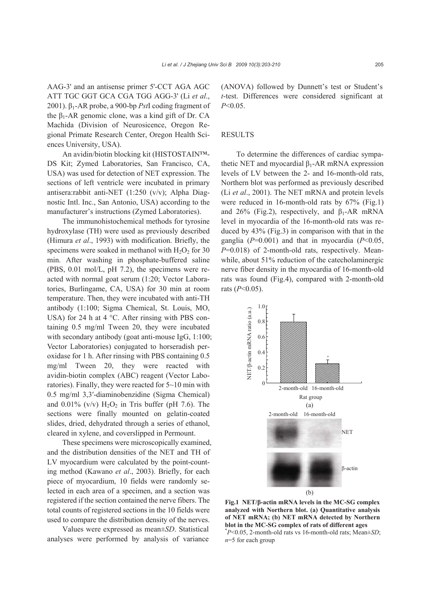AAG-3' and an antisense primer 5'-CCT AGA AGC ATT TGC GGT GCA CGA TGG AGG-3' (Li *et al*., 2001). β1-AR probe, a 900-bp *Pst*I coding fragment of the  $β_1$ -AR genomic clone, was a kind gift of Dr. CA Machida (Division of Neurosicence, Oregon Regional Primate Research Center, Oregon Health Sciences University, USA).

An avidin/biotin blocking kit (HISTOSTAIN™- DS Kit; Zymed Laboratories, San Francisco, CA, USA) was used for detection of NET expression. The sections of left ventricle were incubated in primary antisera:rabbit anti-NET (1:250 (v/v); Alpha Diagnostic Intl. Inc., San Antonio, USA) according to the manufacturer's instructions (Zymed Laboratories).

The immunohistochemical methods for tyrosine hydroxylase (TH) were used as previously described (Himura *et al*., 1993) with modification. Briefly, the specimens were soaked in methanol with  $H_2O_2$  for 30 min. After washing in phosphate-buffered saline (PBS, 0.01 mol/L, pH 7.2), the specimens were reacted with normal goat serum (1:20; Vector Laboratories, Burlingame, CA, USA) for 30 min at room temperature. Then, they were incubated with anti-TH antibody (1:100; Sigma Chemical, St. Louis, MO, USA) for 24 h at 4  $^{\circ}$ C. After rinsing with PBS containing 0.5 mg/ml Tween 20, they were incubated with secondary antibody (goat anti-mouse IgG, 1:100; Vector Laboratories) conjugated to horseradish peroxidase for 1 h. After rinsing with PBS containing 0.5 mg/ml Tween 20, they were reacted with avidin-biotin complex (ABC) reagent (Vector Laboratories). Finally, they were reacted for 5~10 min with 0.5 mg/ml 3,3′-diaminobenzidine (Sigma Chemical) and  $0.01\%$  (v/v)  $H_2O_2$  in Tris buffer (pH 7.6). The sections were finally mounted on gelatin-coated slides, dried, dehydrated through a series of ethanol, cleared in xylene, and coverslipped in Permount.

These specimens were microscopically examined, and the distribution densities of the NET and TH of LV myocardium were calculated by the point-counting method (Kawano *et al*., 2003). Briefly, for each piece of myocardium, 10 fields were randomly selected in each area of a specimen, and a section was registered if the section contained the nerve fibers. The total counts of registered sections in the 10 fields were used to compare the distribution density of the nerves.

Values were expressed as mean±*SD*. Statistical analyses were performed by analysis of variance

(ANOVA) followed by Dunnett's test or Student's *t*-test. Differences were considered significant at *P*<0.05.

#### **RESULTS**

To determine the differences of cardiac sympathetic NET and myocardial β1-AR mRNA expression levels of LV between the 2- and 16-month-old rats, Northern blot was performed as previously described (Li *et al*., 2001). The NET mRNA and protein levels were reduced in 16-month-old rats by 67% (Fig.1) and 26% (Fig.2), respectively, and  $\beta_1$ -AR mRNA level in myocardia of the 16-month-old rats was reduced by 43% (Fig.3) in comparison with that in the ganglia (*P*=0.001) and that in myocardia (*P*<0.05, *P*=0.018) of 2-month-old rats, respectively. Meanwhile, about 51% reduction of the catecholaminergic nerve fiber density in the myocardia of 16-month-old rats was found (Fig.4), compared with 2-month-old rats (*P*<0.05).



**Fig.1 NET/β-actin mRNA levels in the MC-SG complex analyzed with Northern blot. (a) Quantitative analysis of NET mRNA; (b) NET mRNA detected by Northern blot in the MC-SG complex of rats of different ages**  \* *P*<0.05, 2-month-old rats vs 16-month-old rats; Mean±*SD*; *n*=5 for each group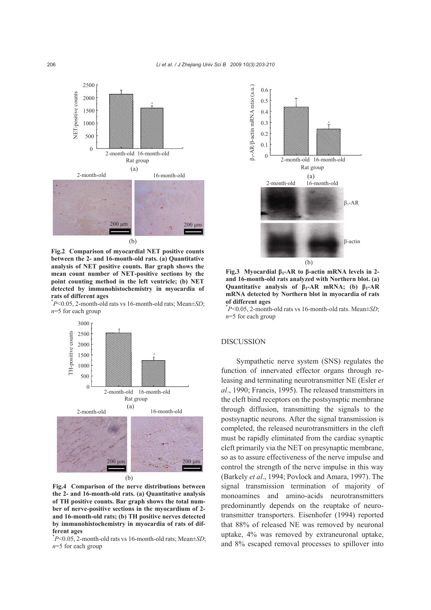

**Fig.2 Comparison of myocardial NET positive counts between the 2- and 16-month-old rats. (a) Quantitative analysis of NET positive counts. Bar graph shows the mean count number of NET-positive sections by the point counting method in the left ventricle; (b) NET detected by immunohistochemistry in myocardia of rats of different ages** 

\* *P*<0.05, 2-month-old rats vs 16-month-old rats; Mean±*SD*; *n*=5 for each group



**Fig.4 Comparison of the nerve distributions between the 2- and 16-month-old rats. (a) Quantitative analysis of TH positive counts. Bar graph shows the total number of nerve-positive sections in the myocardium of 2 and 16-month-old rats; (b) TH positive nerves detected by immunohistochemistry in myocardia of rats of different ages** 

\* *P*<0.05, 2-month-old rats vs 16-month-old rats; Mean±*SD*; *n*=5 for each group



**Fig.3 Myocardial β1-AR to β-actin mRNA levels in 2 and 16-month-old rats analyzed with Northern blot. (a) Quantitative analysis of β1-AR mRNA; (b) β1-AR mRNA detected by Northern blot in myocardia of rats of different ages** 

\* *P*<0.05, 2-month-old rats vs 16-month-old rats. Mean±*SD*; *n*=5 for each group

#### **DISCUSSION**

Sympathetic nerve system (SNS) regulates the function of innervated effector organs through releasing and terminating neurotransmitter NE (Esler *et al*., 1990; Francis, 1995). The released transmitters in the cleft bind receptors on the postsynsptic membrane through diffusion, transmitting the signals to the postsynaptic neurons. After the signal transmission is completed, the released neurotransmitters in the cleft must be rapidly eliminated from the cardiac synaptic cleft primarily via the NET on presynaptic membrane, so as to assure effectiveness of the nerve impulse and control the strength of the nerve impulse in this way (Barkely *et al*., 1994; Povlock and Amara, 1997). The signal transmission termination of majority of monoamines and amino-acids neurotransmitters predominantly depends on the reuptake of neurotransmitter transporters. Eisenhofer (1994) reported that 88% of released NE was removed by neuronal uptake, 4% was removed by extraneuronal uptake, and 8% escaped removal processes to spillover into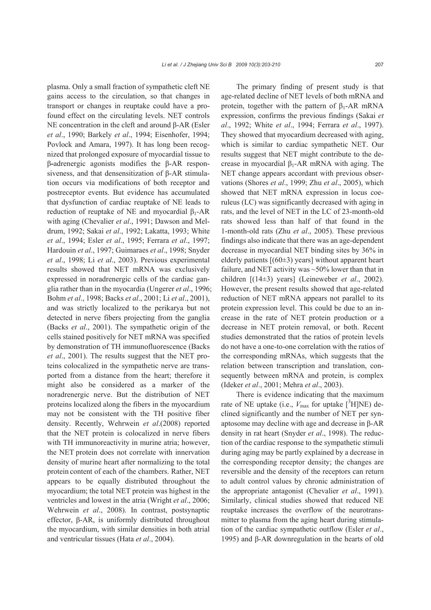plasma. Only a small fraction of sympathetic cleft NE gains access to the circulation, so that changes in transport or changes in reuptake could have a profound effect on the circulating levels. NET controls NE concentration in the cleft and around β-AR (Esler *et al*., 1990; Barkely *et al*., 1994; Eisenhofer, 1994; Povlock and Amara, 1997). It has long been recognized that prolonged exposure of myocardial tissue to β**-**adrenergic agonists modifies the β-AR responsiveness, and that densensitization of β-AR stimulation occurs via modifications of both receptor and postreceptor events. But evidence has accumulated that dysfunction of cardiac reuptake of NE leads to reduction of reuptake of NE and myocardial  $β_1$ -AR with aging (Chevalier *et al*., 1991; Dawson and Meldrum, 1992; Sakai *et al*., 1992; Lakatta, 1993; White *et al*., 1994; Esler *et al*., 1995; Ferrara *et al*., 1997; Hardouin *et al*., 1997; Guimaraes *et al*., 1998; Snyder *et al*., 1998; Li *et al*., 2003). Previous experimental results showed that NET mRNA was exclusively expressed in noradrenergic cells of the cardiac ganglia rather than in the myocardia (Ungerer *et al*., 1996; Bohm *et al*., 1998; Backs *et al*., 2001; Li *et al*., 2001), and was strictly localized to the perikarya but not detected in nerve fibers projecting from the ganglia (Backs *et al*., 2001). The sympathetic origin of the cells stained positively for NET mRNA was specified by demonstration of TH immunofluorescence (Backs *et al*., 2001). The results suggest that the NET proteins colocalized in the sympathetic nerve are transported from a distance from the heart; therefore it might also be considered as a marker of the noradrenergic nerve. But the distribution of NET proteins localized along the fibers in the myocardium may not be consistent with the TH positive fiber density. Recently, Wehrwein *et al*.(2008) reported that the NET protein is colocalized in nerve fibers with TH immunoreactivity in murine atria; however, the NET protein does not correlate with innervation density of murine heart after normalizing to the total protein content of each of the chambers. Rather, NET appears to be equally distributed throughout the myocardium; the total NET protein was highest in the ventricles and lowest in the atria (Wright *et al*., 2006; Wehrwein *et al*., 2008). In contrast, postsynaptic effector, β-AR, is uniformly distributed throughout the myocardium, with similar densities in both atrial and ventricular tissues (Hata *et al*., 2004).

The primary finding of present study is that age-related decline of NET levels of both mRNA and protein, together with the pattern of  $\beta_1$ -AR mRNA expression, confirms the previous findings (Sakai *et al*., 1992; White *et al*., 1994; Ferrara *et al*., 1997). They showed that myocardium decreased with aging, which is similar to cardiac sympathetic NET. Our results suggest that NET might contribute to the decrease in myocardial  $β_1$ -AR mRNA with aging. The NET change appears accordant with previous observations (Shores *et al*., 1999; Zhu *et al*., 2005), which showed that NET mRNA expression in locus coeruleus (LC) was significantly decreased with aging in rats, and the level of NET in the LC of 23-month-old rats showed less than half of that found in the 1-month-old rats (Zhu *et al*., 2005). These previous findings also indicate that there was an age-dependent decrease in myocardial NET binding sites by 36% in elderly patients  $[(60±3)$  years] without apparent heart failure, and NET activity was ~50% lower than that in children [(14±3) years] (Leineweber *et al*., 2002). However, the present results showed that age-related reduction of NET mRNA appears not parallel to its protein expression level. This could be due to an increase in the rate of NET protein production or a decrease in NET protein removal, or both. Recent studies demonstrated that the ratios of protein levels do not have a one-to-one correlation with the ratios of the corresponding mRNAs, which suggests that the relation between transcription and translation, consequently between mRNA and protein, is complex (Ideker *et al*., 2001; Mehra *et al*., 2003).

There is evidence indicating that the maximum rate of NE uptake (i.e.,  $V_{\text{max}}$  for uptake  $[{}^{3}H]$ NE) declined significantly and the number of NET per synaptosome may decline with age and decrease in β-AR density in rat heart (Snyder *et al*., 1998). The reduction of the cardiac response to the sympathetic stimuli during aging may be partly explained by a decrease in the corresponding receptor density; the changes are reversible and the density of the receptors can return to adult control values by chronic administration of the appropriate antagonist (Chevalier *et al*., 1991). Similarly, clinical studies showed that reduced NE reuptake increases the overflow of the neurotransmitter to plasma from the aging heart during stimulation of the cardiac sympathetic outflow (Esler *et al*., 1995) and β-AR downregulation in the hearts of old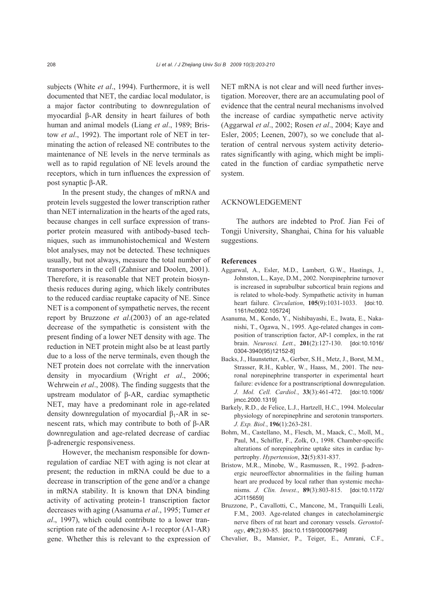subjects (White *et al*., 1994). Furthermore, it is well documented that NET, the cardiac local modulator, is a major factor contributing to downregulation of myocardial β-AR density in heart failures of both human and animal models (Liang *et al*., 1989; Bristow *et al*., 1992). The important role of NET in terminating the action of released NE contributes to the maintenance of NE levels in the nerve terminals as well as to rapid regulation of NE levels around the receptors, which in turn influences the expression of post synaptic β-AR.

In the present study, the changes of mRNA and protein levels suggested the lower transcription rather than NET internalization in the hearts of the aged rats, because changes in cell surface expression of transporter protein measured with antibody-based techniques, such as immunohistochemical and Western blot analyses, may not be detected. These techniques usually, but not always, measure the total number of transporters in the cell (Zahniser and Doolen, 2001). Therefore, it is reasonable that NET protein biosynthesis reduces during aging, which likely contributes to the reduced cardiac reuptake capacity of NE. Since NET is a component of sympathetic nerves, the recent report by Bruzzone *et al*.(2003) of an age-related decrease of the sympathetic is consistent with the present finding of a lower NET density with age. The reduction in NET protein might also be at least partly due to a loss of the nerve terminals, even though the NET protein does not correlate with the innervation density in myocardium (Wright *et al*., 2006; Wehrwein *et al*., 2008). The finding suggests that the upstream modulator of β-AR, cardiac symapthetic NET, may have a predominant role in age-related density downregulation of myocardial  $β_1$ -AR in senescent rats, which may contribute to both of β-AR downregulation and age-related decrease of cardiac β-adrenergic responsiveness.

However, the mechanism responsible for downregulation of cardiac NET with aging is not clear at present; the reduction in mRNA could be due to a decrease in transcription of the gene and/or a change in mRNA stability. It is known that DNA binding activity of activating protein-1 transcription factor decreases with aging (Asanuma *et al*., 1995; Tumer *et al*., 1997), which could contribute to a lower transcription rate of the adenosine A-1 receptor (A1-AR) gene. Whether this is relevant to the expression of NET mRNA is not clear and will need further investigation. Moreover, there are an accumulating pool of evidence that the central neural mechanisms involved the increase of cardiac sympathetic nerve activity (Aggarwal *et al*., 2002; Rosen *et al*., 2004; Kaye and Esler, 2005; Leenen, 2007), so we conclude that alteration of central nervous system activity deteriorates significantly with aging, which might be implicated in the function of cardiac sympathetic nerve system.

#### ACKNOWLEDGEMENT

The authors are indebted to Prof. Jian Fei of Tongji University, Shanghai, China for his valuable suggestions.

#### **References**

- Aggarwal, A., Esler, M.D., Lambert, G.W., Hastings, J., Johnston, L., Kaye, D.M., 2002. Norepinephrine turnover is increased in suprabulbar subcortical brain regions and is related to whole-body. Sympathetic activity in human heart failure. *Circulation*, **105**(9):1031-1033. [doi:10. 1161/hc0902.105724]
- Asanuma, M., Kondo, Y., Nishibayashi, E., Iwata, E., Nakanishi, T., Ogawa, N., 1995. Age-related changes in composition of transcription factor, AP-1 complex, in the rat brain. *Neurosci. Lett.*, **201**(2):127-130. [doi:10.1016/ 0304-3940(95)12152-8]
- Backs, J., Haunstetter, A., Gerber, S.H., Metz, J., Borst, M.M., Strasser, R.H., Kubler, W., Haass, M., 2001. The neuronal norepinephrine transporter in experimental heart failure: evidence for a posttranscriptional downregulation. *J. Mol. Cell. Cardiol.*, **33**(3):461-472. [doi:10.1006/ jmcc.2000.1319]
- Barkely, R.D., de Felice, L.J., Hartzell, H.C., 1994. Molecular physiology of norepinephrine and serotonin transporters. *J. Exp. Biol.*, **196**(1):263-281.
- Bohm, M., Castellano, M., Flesch, M., Maack, C., Moll, M., Paul, M., Schiffer, F., Zolk, O., 1998. Chamber-specific alterations of norepinephrine uptake sites in cardiac hypertrophy. *Hypertension*, **32**(5):831-837.
- Bristow, M.R., Minobe, W., Rasmussen, R., 1992. β-adrenergic neuroeffector abnormalities in the failing human heart are produced by local rather than systemic mechanisms. *J. Clin. Invest.*, **89**(3):803-815. [doi:10.1172/ JCI115659]
- Bruzzone, P., Cavallotti, C., Mancone, M., Tranquilli Leali, F.M., 2003. Age-related changes in catecholaminergic nerve fibers of rat heart and coronary vessels. *Gerontology*, **49**(2):80-85. [doi:10.1159/000067949]
- Chevalier, B., Mansier, P., Teiger, E., Amrani, C.F.,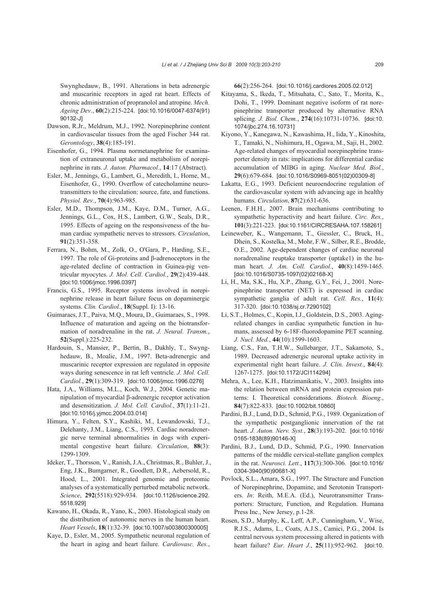Swynghedauw, B., 1991. Alterations in beta adrenergic and muscarinic receptors in aged rat heart. Effects of chronic administration of propranolol and atropine. *Mech. Ageing Dev.*, **60**(2):215-224. [doi:10.1016/0047-6374(91) 90132-J]

- Dawson, R.Jr., Meldrum, M.J., 1992. Norepinephrine content in cardiovascular tissues from the aged Fischer 344 rat. *Gerontology*, **38**(4):185-191.
- Eisenhofer, G., 1994. Plasma normetanephrine for examination of extraneuronal uptake and metabolism of norepinephrine in rats. *J. Auton. Pharmacol.*, **14**:17 (Abstract).
- Esler, M., Jennings, G., Lambert, G., Meredith, I., Horne, M., Eisenhofer, G., 1990. Overflow of catecholamine neurotransmitters to the circulation: source, fate, and functions. *Physiol. Rev.*, **70**(4):963-985.
- Esler, M.D., Thompson, J.M., Kaye, D.M., Turner, A.G., Jennings, G.L., Cox, H.S., Lambert, G.W., Seals, D.R., 1995. Effects of ageing on the responsiveness of the human cardiac sympathetic nerves to stressors. *Circulation*, **91**(2):351-358.
- Ferrara, N., Bohm, M., Zolk, O., O'Gara, P., Harding, S.E., 1997. The role of Gi-proteins and β-adrenoceptors in the age-related decline of contraction in Guinea-pig ventricular myocytes. *J. Mol. Cell. Cardiol.*, **29**(2):439-448. [doi:10.1006/jmcc.1996.0397]
- Francis, G.S., 1995. Receptor systems involved in norepinephrine release in heart failure focus on dopaminergic systems. *Clin. Cardiol.*, **18**(Suppl. I): 13-16.
- Guimaraes, J.T., Paiva, M.Q., Moura, D., Guimaraes, S., 1998. Influence of maturation and ageing on the biotransformation of noradrenaline in the rat. *J. Neural. Transm.*, **52**(Suppl.):225-232.
- Hardouin, S., Mansier, P., Bertin, B., Dakhly, T., Swynghedauw, B., Moalic, J.M., 1997. Beta-adrenergic and muscarinic receptor expression are regulated in opposite ways during senescence in rat left ventricle. *J. Mol. Cell. Cardiol.*, **29**(1):309-319. [doi:10.1006/jmcc.1996.0276]
- Hata, J.A., Williams, M.L., Koch, W.J., 2004. Genetic manipulation of myocardial β-adrenergic receptor activation and desensitization. *J. Mol. Cell. Cardiol.*, **37**(1):11-21. [doi:10.1016/j.yjmcc.2004.03.014]
- Himura, Y., Felten, S.Y., Kashiki, M., Lewandowski, T.J., Delehanty, J.M., Liang, C.S., 1993. Cardiac noradrenergic nerve terminal abnormalities in dogs with experimental congestive heart failure. *Circulation*, **88**(3): 1299-1309.
- Ideker, T., Thorsson, V., Ranish, J.A., Christmas, R., Buhler, J., Eng, J.K., Bumgarner, R., Goodlett, D.R., Aebersold, R., Hood, L., 2001. Integrated genomic and proteomic analyses of a systematically perturbed metabolic network. *Science*, **292**(5518):929-934. [doi:10.1126/science.292. 5518.929]
- Kawano, H., Okada, R., Yano, K., 2003. Histological study on the distribution of autonomic nerves in the human heart. *Heart Vessels*, **18**(1):32-39. [doi:10.1007/s003800300005]
- Kaye, D., Esler, M., 2005. Sympathetic neuronal regulation of the heart in aging and heart failure. *Cardiovasc. Res.*,

**66**(2):256-264. [doi:10.1016/j.cardiores.2005.02.012]

- Kitayama, S., Ikeda, T., Mitsuhata, C., Sato, T., Morita, K., Dohi, T., 1999. Dominant negative isoform of rat norepinephrine transporter produced by alternative RNA splicing. *J. Biol. Chem.*, **274**(16):10731-10736. [doi:10. 1074/jbc.274.16.10731]
- Kiyono, Y., Kanegawa, N., Kawashima, H., Iida, Y., Kinoshita, T., Tamaki, N., Nishimura, H., Ogawa, M., Saji, H., 2002. Age-related changes of myocardial norepinephrine transporter density in rats: implications for differential cardiac accumulation of MIBG in aging. *Nuclear Med. Biol.*, **29**(6):679-684. [doi:10.1016/S0969-8051(02)00309-8]
- Lakatta, E.G., 1993. Deficient neuroendocrine regulation of the cardiovascular system with advancing age in healthy humans. *Circulation*, **87**(2):631-636.
- Leenen, F.H.H., 2007. Brain mechanisms contributing to sympathetic hyperactivity and heart failure. *Circ. Res.*, **101**(3):221-223. [doi:10.1161/CIRCRESAHA.107.158261]
- Leineweber, K., Wangemann, T., Giessler, C., Bruck, H., Dhein, S., Kostelka, M., Mohr, F.W., Silber, R.E., Brodde, O.E., 2002. Age-dependent changes of cardiac neuronal noradrenaline reuptake transporter (uptake1) in the human heart. *J. Am. Coll. Cardiol.*, **40**(8):1459-1465. [doi:10.1016/S0735-1097(02)02168-X]
- Li, H., Ma, S.K., Hu, X.P., Zhang, G.Y., Fei, J., 2001. Norepinephrine transporter (NET) is expressed in cardiac sympathetic ganglia of adult rat. *Cell. Res.*, **11**(4): 317-320. [doi:10.1038/sj.cr.7290102]
- Li, S.T., Holmes, C., Kopin, I.J., Goldstein, D.S., 2003. Agingrelated changes in cardiac sympathetic function in humans, assessed by 6-18F-fluorodopamine PET scanning. *J. Nucl. Med.*, **44**(10):1599-1603.
- Liang, C.S., Fan, T.H.W., Sullebarger, J.T., Sakamoto, S., 1989. Decreased adrenergic neuronal uptake activity in experimental right heart failure. *J. Clin. Invest.*, **84**(4): 1267-1275. [doi:10.1172/JCI114294]
- Mehra, A., Lee, K.H., Hatzimanikatis, V., 2003. Insights into the relation between mRNA and protein expression patterns: I. Theoretical considerations. *Biotech. Bioeng.*, **84**(7):822-833. [doi:10.1002/bit.10860]
- Pardini, B.J., Lund, D.D., Schmid, P.G., 1989. Organization of the sympathetic postganglionic innervation of the rat heart. *J. Auton. Nerv. Syst.*, **28**(3):193-202. [doi:10.1016/ 0165-1838(89)90146-X]
- Pardini, B.J., Lund, D.D., Schmid, P.G., 1990. Innervation patterns of the middle cervical-stellate ganglion complex in the rat. *Neurosci. Lett.*, **117**(3):300-306. [doi:10.1016/ 0304-3940(90)90681-X]
- Povlock, S.L., Amara, S.G., 1997. The Structure and Function of Norepinephrine, Dopamine, and Serotonin Transporters. *In*: Reith, M.E.A. (Ed.), Neurotransmitter Transporters: Structure, Function, and Regulation. Humana Press Inc., New Jersey, p.1-28.
- Rosen, S.D., Murphy, K., Leff, A.P., Cunningham, V., Wise, R.J.S., Adams, L., Coats, A.J.S., Camici, P.G., 2004. Is central nervous system processing altered in patients with heart failure? *Eur. Heart J.*, **25**(11):952-962. [doi:10.